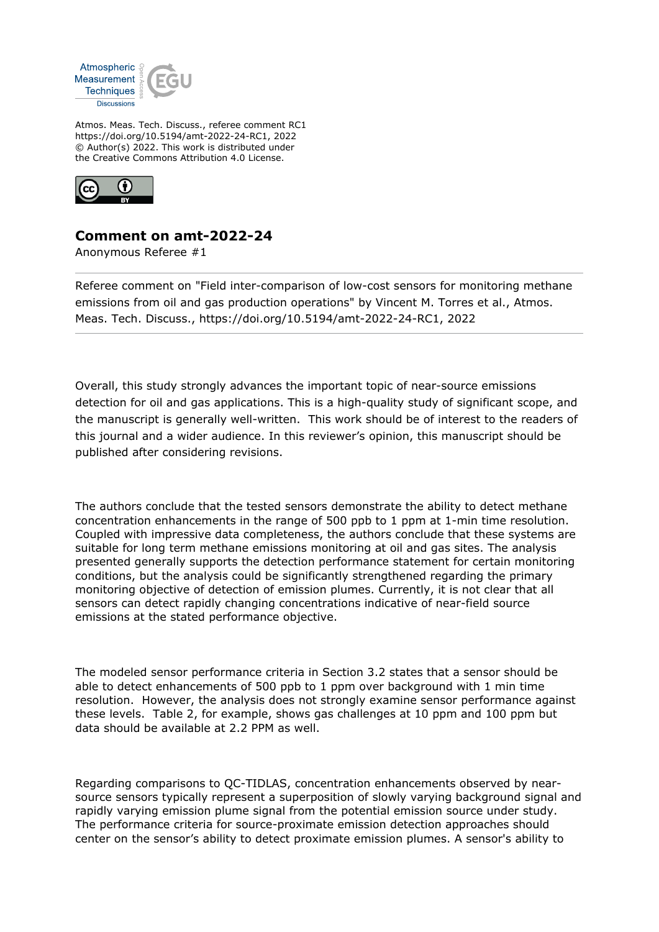

Atmos. Meas. Tech. Discuss., referee comment RC1 https://doi.org/10.5194/amt-2022-24-RC1, 2022 © Author(s) 2022. This work is distributed under the Creative Commons Attribution 4.0 License.



## **Comment on amt-2022-24**

Anonymous Referee #1

Referee comment on "Field inter-comparison of low-cost sensors for monitoring methane emissions from oil and gas production operations" by Vincent M. Torres et al., Atmos. Meas. Tech. Discuss., https://doi.org/10.5194/amt-2022-24-RC1, 2022

Overall, this study strongly advances the important topic of near-source emissions detection for oil and gas applications. This is a high-quality study of significant scope, and the manuscript is generally well-written. This work should be of interest to the readers of this journal and a wider audience. In this reviewer's opinion, this manuscript should be published after considering revisions.

The authors conclude that the tested sensors demonstrate the ability to detect methane concentration enhancements in the range of 500 ppb to 1 ppm at 1-min time resolution. Coupled with impressive data completeness, the authors conclude that these systems are suitable for long term methane emissions monitoring at oil and gas sites. The analysis presented generally supports the detection performance statement for certain monitoring conditions, but the analysis could be significantly strengthened regarding the primary monitoring objective of detection of emission plumes. Currently, it is not clear that all sensors can detect rapidly changing concentrations indicative of near-field source emissions at the stated performance objective.

The modeled sensor performance criteria in Section 3.2 states that a sensor should be able to detect enhancements of 500 ppb to 1 ppm over background with 1 min time resolution. However, the analysis does not strongly examine sensor performance against these levels. Table 2, for example, shows gas challenges at 10 ppm and 100 ppm but data should be available at 2.2 PPM as well.

Regarding comparisons to QC-TIDLAS, concentration enhancements observed by nearsource sensors typically represent a superposition of slowly varying background signal and rapidly varying emission plume signal from the potential emission source under study. The performance criteria for source-proximate emission detection approaches should center on the sensor's ability to detect proximate emission plumes. A sensor's ability to